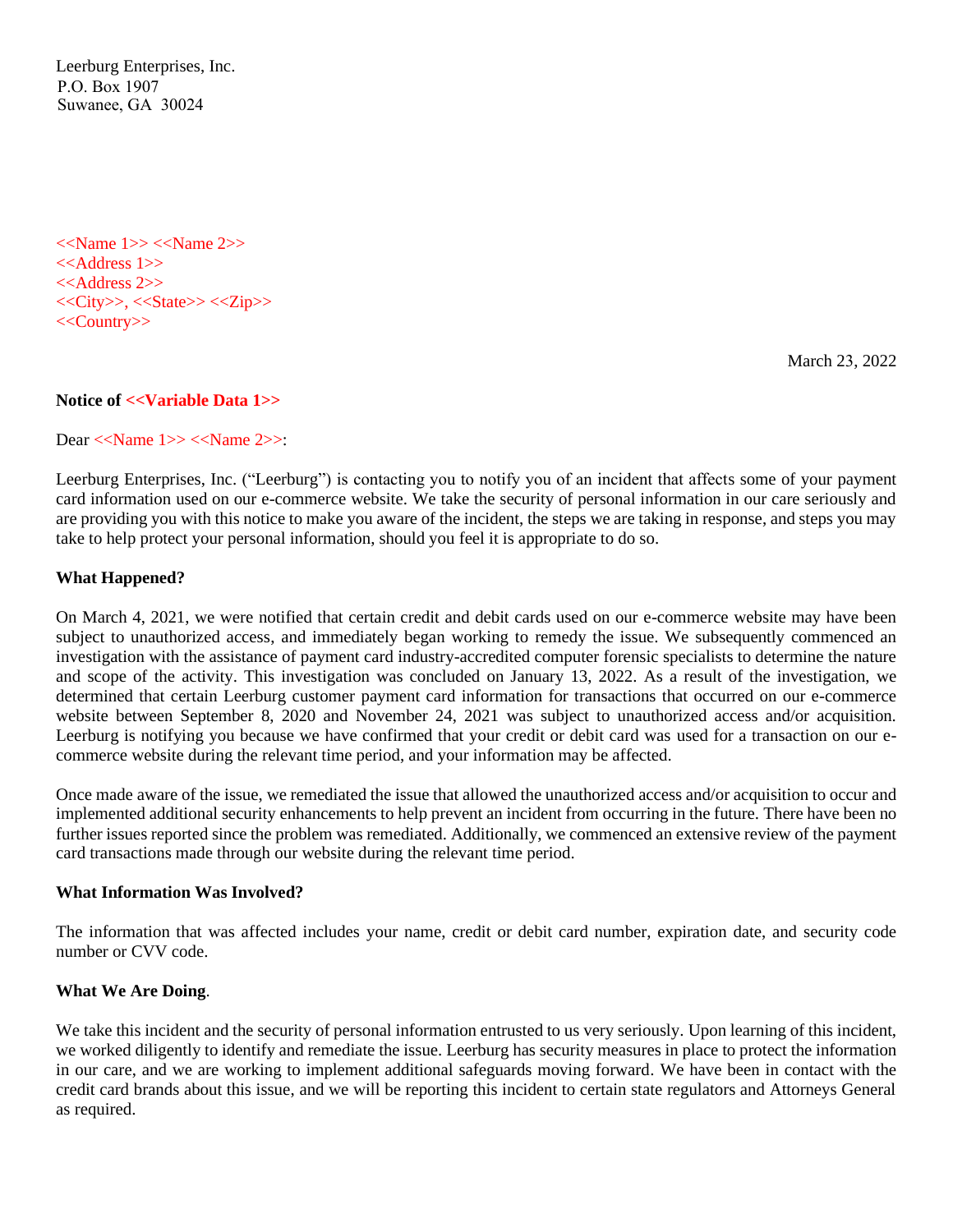Leerburg Enterprises, Inc. P.O. Box 1907 Suwanee, GA 30024

<<Name 1>> <<Name 2>> <<Address 1>> <<Address 2>>  $<>,<<>State>><>$ <<Country>>

March 23, 2022

#### **Notice of <<Variable Data 1>>**

Dear <<Name 1>> <<Name 2>>:

Leerburg Enterprises, Inc. ("Leerburg") is contacting you to notify you of an incident that affects some of your payment card information used on our e-commerce website. We take the security of personal information in our care seriously and are providing you with this notice to make you aware of the incident, the steps we are taking in response, and steps you may take to help protect your personal information, should you feel it is appropriate to do so.

#### **What Happened?**

On March 4, 2021, we were notified that certain credit and debit cards used on our e-commerce website may have been subject to unauthorized access, and immediately began working to remedy the issue. We subsequently commenced an investigation with the assistance of payment card industry-accredited computer forensic specialists to determine the nature and scope of the activity. This investigation was concluded on January 13, 2022. As a result of the investigation, we determined that certain Leerburg customer payment card information for transactions that occurred on our e-commerce website between September 8, 2020 and November 24, 2021 was subject to unauthorized access and/or acquisition. Leerburg is notifying you because we have confirmed that your credit or debit card was used for a transaction on our ecommerce website during the relevant time period, and your information may be affected.

Once made aware of the issue, we remediated the issue that allowed the unauthorized access and/or acquisition to occur and implemented additional security enhancements to help prevent an incident from occurring in the future. There have been no further issues reported since the problem was remediated. Additionally, we commenced an extensive review of the payment card transactions made through our website during the relevant time period.

#### **What Information Was Involved?**

The information that was affected includes your name, credit or debit card number, expiration date, and security code number or CVV code.

#### **What We Are Doing**.

We take this incident and the security of personal information entrusted to us very seriously. Upon learning of this incident, we worked diligently to identify and remediate the issue. Leerburg has security measures in place to protect the information in our care, and we are working to implement additional safeguards moving forward. We have been in contact with the credit card brands about this issue, and we will be reporting this incident to certain state regulators and Attorneys General as required.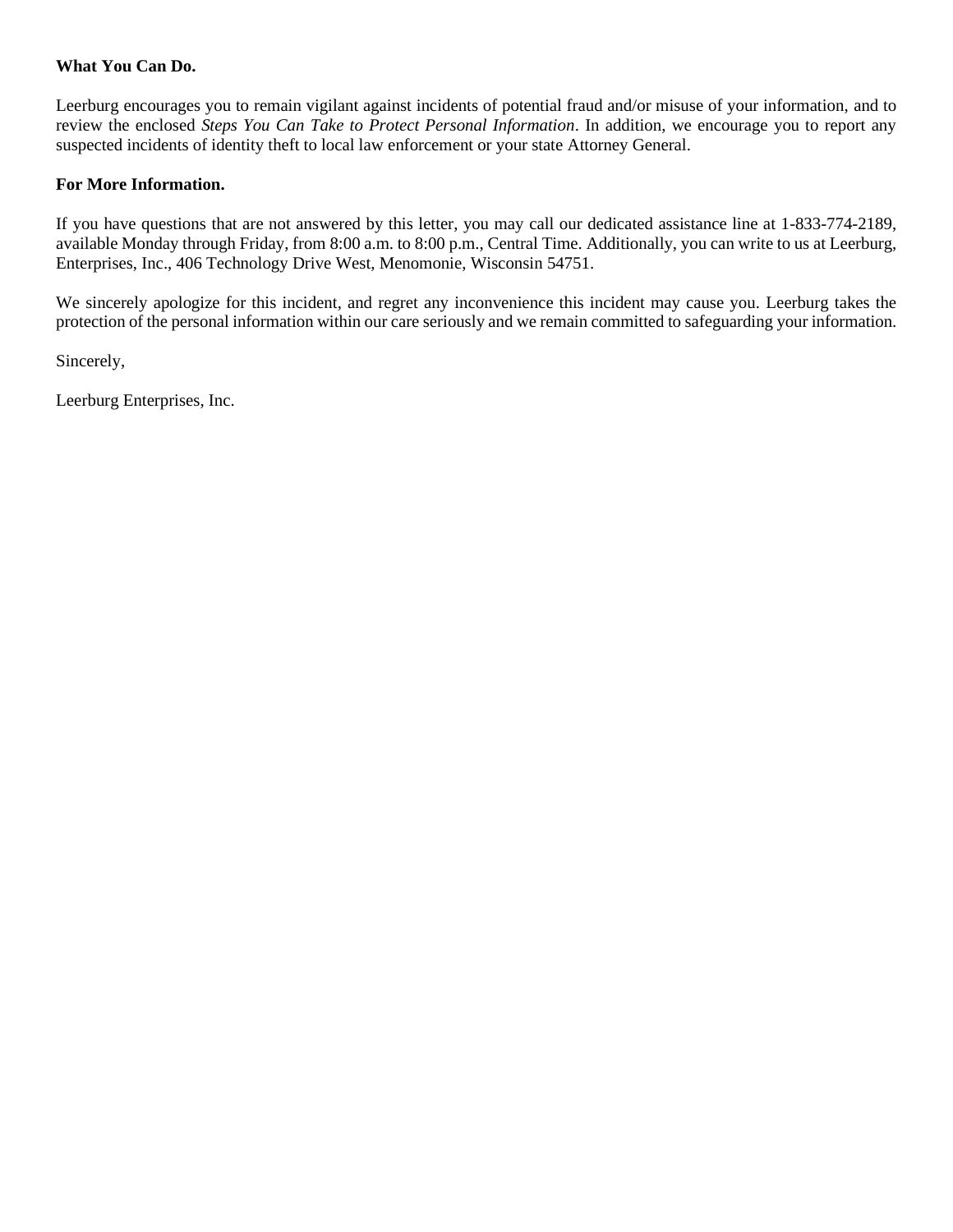## **What You Can Do.**

Leerburg encourages you to remain vigilant against incidents of potential fraud and/or misuse of your information, and to review the enclosed *Steps You Can Take to Protect Personal Information*. In addition, we encourage you to report any suspected incidents of identity theft to local law enforcement or your state Attorney General.

## **For More Information.**

If you have questions that are not answered by this letter, you may call our dedicated assistance line at 1-833-774-2189, available Monday through Friday, from 8:00 a.m. to 8:00 p.m., Central Time. Additionally, you can write to us at Leerburg, Enterprises, Inc., 406 Technology Drive West, Menomonie, Wisconsin 54751.

We sincerely apologize for this incident, and regret any inconvenience this incident may cause you. Leerburg takes the protection of the personal information within our care seriously and we remain committed to safeguarding your information.

Sincerely,

Leerburg Enterprises, Inc.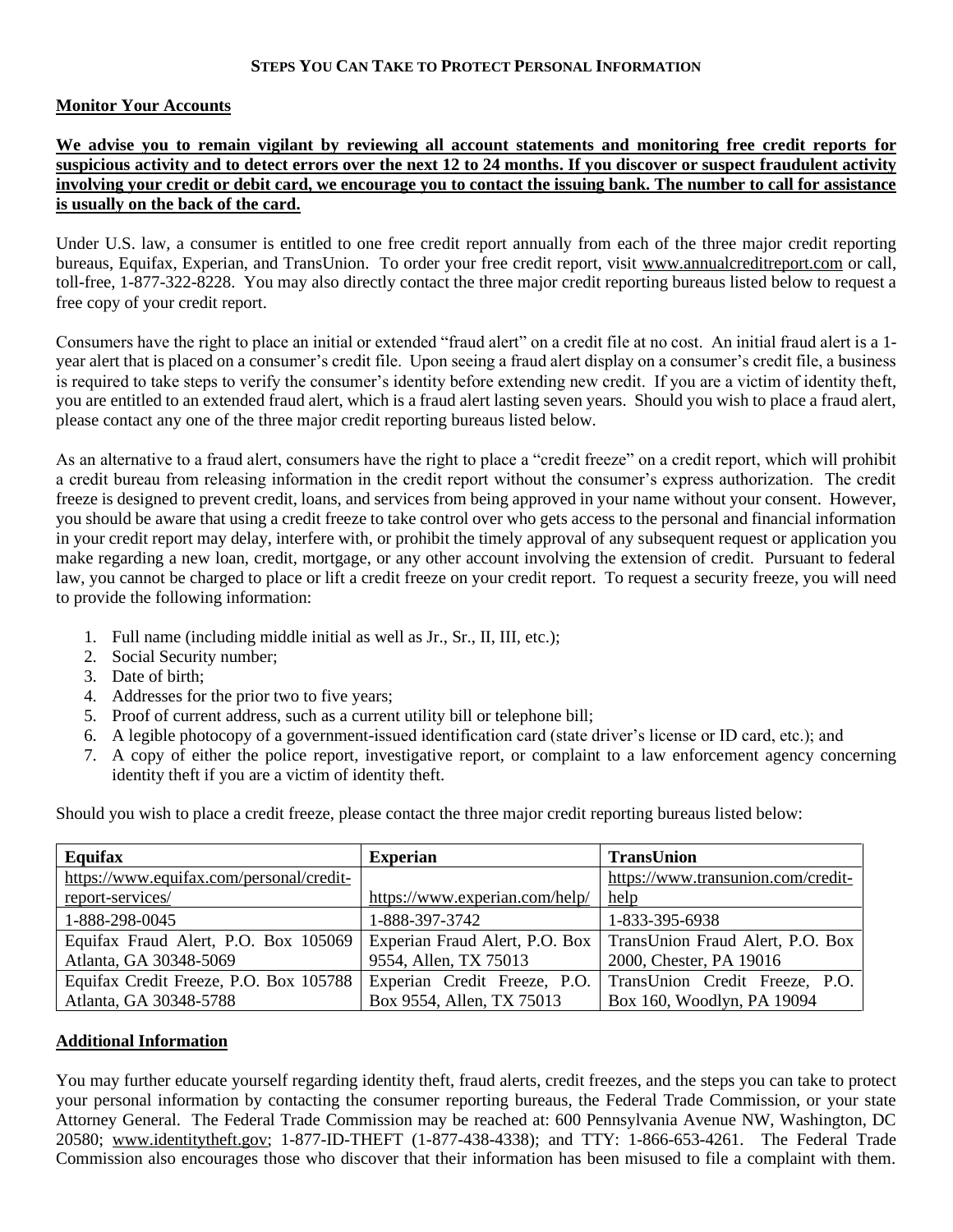## **STEPS YOU CAN TAKE TO PROTECT PERSONAL INFORMATION**

## **Monitor Your Accounts**

# **We advise you to remain vigilant by reviewing all account statements and monitoring free credit reports for suspicious activity and to detect errors over the next 12 to 24 months. If you discover or suspect fraudulent activity involving your credit or debit card, we encourage you to contact the issuing bank. The number to call for assistance is usually on the back of the card.**

Under U.S. law, a consumer is entitled to one free credit report annually from each of the three major credit reporting bureaus, Equifax, Experian, and TransUnion. To order your free credit report, visit www.annualcreditreport.com or call, toll-free, 1-877-322-8228. You may also directly contact the three major credit reporting bureaus listed below to request a free copy of your credit report.

Consumers have the right to place an initial or extended "fraud alert" on a credit file at no cost. An initial fraud alert is a 1 year alert that is placed on a consumer's credit file. Upon seeing a fraud alert display on a consumer's credit file, a business is required to take steps to verify the consumer's identity before extending new credit. If you are a victim of identity theft, you are entitled to an extended fraud alert, which is a fraud alert lasting seven years. Should you wish to place a fraud alert, please contact any one of the three major credit reporting bureaus listed below.

As an alternative to a fraud alert, consumers have the right to place a "credit freeze" on a credit report, which will prohibit a credit bureau from releasing information in the credit report without the consumer's express authorization. The credit freeze is designed to prevent credit, loans, and services from being approved in your name without your consent. However, you should be aware that using a credit freeze to take control over who gets access to the personal and financial information in your credit report may delay, interfere with, or prohibit the timely approval of any subsequent request or application you make regarding a new loan, credit, mortgage, or any other account involving the extension of credit. Pursuant to federal law, you cannot be charged to place or lift a credit freeze on your credit report. To request a security freeze, you will need to provide the following information:

- 1. Full name (including middle initial as well as Jr., Sr., II, III, etc.);
- 2. Social Security number;
- 3. Date of birth;
- 4. Addresses for the prior two to five years;
- 5. Proof of current address, such as a current utility bill or telephone bill;
- 6. A legible photocopy of a government-issued identification card (state driver's license or ID card, etc.); and
- 7. A copy of either the police report, investigative report, or complaint to a law enforcement agency concerning identity theft if you are a victim of identity theft.

Should you wish to place a credit freeze, please contact the three major credit reporting bureaus listed below:

| Equifax                                                                                              | <b>Experian</b>                | <b>TransUnion</b>                  |
|------------------------------------------------------------------------------------------------------|--------------------------------|------------------------------------|
| https://www.equifax.com/personal/credit-                                                             |                                | https://www.transunion.com/credit- |
| report-services/                                                                                     | https://www.experian.com/help/ | help                               |
| 1-888-298-0045                                                                                       | 1-888-397-3742                 | 1-833-395-6938                     |
| Equifax Fraud Alert, P.O. Box 105069 Experian Fraud Alert, P.O. Box TransUnion Fraud Alert, P.O. Box |                                |                                    |
| Atlanta, GA 30348-5069                                                                               | 9554, Allen, TX 75013          | 2000, Chester, PA 19016            |
| Equifax Credit Freeze, P.O. Box 105788                                                               | Experian Credit Freeze, P.O.   | TransUnion Credit Freeze, P.O.     |
| Atlanta, GA 30348-5788                                                                               | Box 9554, Allen, TX 75013      | Box 160, Woodlyn, PA 19094         |

# **Additional Information**

You may further educate yourself regarding identity theft, fraud alerts, credit freezes, and the steps you can take to protect your personal information by contacting the consumer reporting bureaus, the Federal Trade Commission, or your state Attorney General.The Federal Trade Commission may be reached at: 600 Pennsylvania Avenue NW, Washington, DC 20580; www.identitytheft.gov; 1-877-ID-THEFT (1-877-438-4338); and TTY: 1-866-653-4261. The Federal Trade Commission also encourages those who discover that their information has been misused to file a complaint with them.